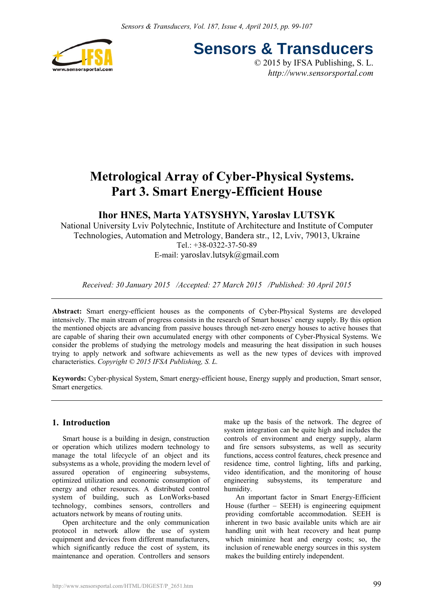

**Sensors & Transducers**

© 2015 by IFSA Publishing, S. L. *http://www.sensorsportal.com*

# **Metrological Array of Cyber-Physical Systems. Part 3. Smart Energy-Efficient House**

# **Ihor HNES, Marta YATSYSHYN, Yaroslav LUTSYK**

National University Lviv Polytechnic, Institute of Architecture and Institute of Computer Technologies, Automation and Metrology, Bandera str., 12, Lviv, 79013, Ukraine Tel.: +38-0322-37-50-89 E-mail: yaroslav.lutsyk@gmail.com

*Received: 30 January 2015 /Accepted: 27 March 2015 /Published: 30 April 2015*

**Abstract:** Smart energy-efficient houses as the components of Cyber-Physical Systems are developed intensively. The main stream of progress consists in the research of Smart houses' energy supply. By this option the mentioned objects are advancing from passive houses through net-zero energy houses to active houses that are capable of sharing their own accumulated energy with other components of Cyber-Physical Systems. We consider the problems of studying the metrology models and measuring the heat dissipation in such houses trying to apply network and software achievements as well as the new types of devices with improved characteristics. *Copyright © 2015 IFSA Publishing, S. L.*

**Keywords:** Cyber-physical System, Smart energy-efficient house, Energy supply and production, Smart sensor, Smart energetics.

# **1. Introduction**

Smart house is a building in design, construction or operation which utilizes modern technology to manage the total lifecycle of an object and its subsystems as a whole, providing the modern level of assured operation of engineering subsystems, optimized utilization and economic consumption of energy and other resources. A distributed control system of building, such as LonWorks-based technology, combines sensors, controllers and actuators network by means of routing units.

Open architecture and the only communication protocol in network allow the use of system equipment and devices from different manufacturers, which significantly reduce the cost of system, its maintenance and operation. Controllers and sensors make up the basis of the network. The degree of system integration can be quite high and includes the controls of environment and energy supply, alarm and fire sensors subsystems, as well as security functions, access control features, check presence and residence time, control lighting, lifts and parking, video identification, and the monitoring of house engineering subsystems, its temperature and humidity.

An important factor in Smart Energy-Efficient House (further – SEEH) is engineering equipment providing comfortable accommodation*.* SEEH is inherent in two basic available units which are air handling unit with heat recovery and heat pump which minimize heat and energy costs; so, the inclusion of renewable energy sources in this system makes the building entirely independent.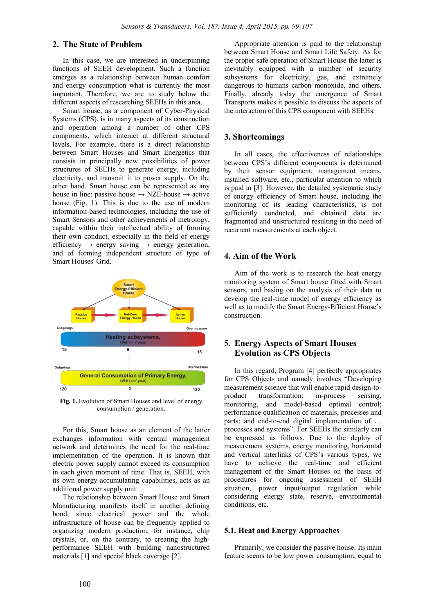### **2. The State of Problem**

In this case, we are interested in underpinning functions of SEEH development. Such a function emerges as a relationship between human comfort and energy consumption what is currently the most important. Therefore, we are to study below the different aspects of researching SEEHs in this area.

Smart house, as a component of Cyber-Physical Systems (CPS), is in many aspects of its construction and operation among a number of other CPS components, which interact at different structural levels. For example, there is a direct relationship between Smart Houses and Smart Energetics that consists in principally new possibilities of power structures of SEEHs to generate energy, including electricity, and transmit it to power supply. On the other hand, Smart house can be represented as any house in line: passive house  $\rightarrow$  NZE-house  $\rightarrow$  active house (Fig. 1). This is due to the use of modern information-based technologies, including the use of Smart Sensors and other achievements of metrology, capable within their intellectual ability of forming their own conduct, especially in the field of energy efficiency  $\rightarrow$  energy saving  $\rightarrow$  energy generation, and of forming independent structure of type of Smart Houses' Grid.



**Fig. 1.** Evolution of Smart Houses and level of energy consumption / generation.

For this, Smart house as an element of the latter exchanges information with central management network and determines the need for the real-time implementation of the operation. It is known that electric power supply cannot exceed its consumption in each given moment of time. That is, SEEH, with its own energy-accumulating capabilities, acts as an additional power supply unit.

The relationship between Smart House and Smart Manufacturing manifests itself in another defining bond, since electrical power and the whole infrastructure of house can be frequently applied to organizing modern production, for instance, chip crystals, or, on the contrary, to creating the highperformance SEEH with building nanostructured materials [1] and special black coverage [2].

Appropriate attention is paid to the relationship between Smart House and Smart Life Safety. As for the proper safe operation of Smart House the latter is inevitably equipped with a number of security subsystems for electricity, gas, and extremely dangerous to humans carbon monoxide, and others. Finally, already today the emergence of Smart Transports makes it possible to discuss the aspects of the interaction of this CPS component with SEEHs.

#### **3. Shortcomings**

In all cases, the effectiveness of relationships between CPS's different components is determined by their sensor equipment, management means, installed software, etc., particular attention to which is paid in [3]. However, the detailed systematic study of energy efficiency of Smart house, including the monitoring of its leading characteristics, is not sufficiently conducted, and obtained data are fragmented and unstructured resulting in the need of recurrent measurements at each object.

### **4. Aim of the Work**

Aim of the work is to research the heat energy monitoring system of Smart house fitted with Smart sensors, and basing on the analysis of their data to develop the real-time model of energy efficiency as well as to modify the Smart Energy-Efficient House's construction.

# **5. Energy Aspects of Smart Houses Evolution as CPS Objects**

In this regard, Program [4] perfectly appropriates for CPS Objects and namely involves "Developing measurement science that will enable rapid design-toproduct transformation; in-process sensing, monitoring, and model-based optimal control; performance qualification of materials, processes and parts; and end-to-end digital implementation of … processes and systems". For SEEHs the similarly can be expressed as follows. Due to the deploy of measurement systems, energy monitoring, horizontal and vertical interlinks of CPS's various types, we have to achieve the real-time and efficient management of the Smart Houses on the basis of procedures for ongoing assessment of SEEH situation, power input/output regulation while considering energy state, reserve, environmental conditions, etc.

### **5.1. Heat and Energy Approaches**

Primarily, we consider the passive house. Its main feature seems to be low power consumption, equal to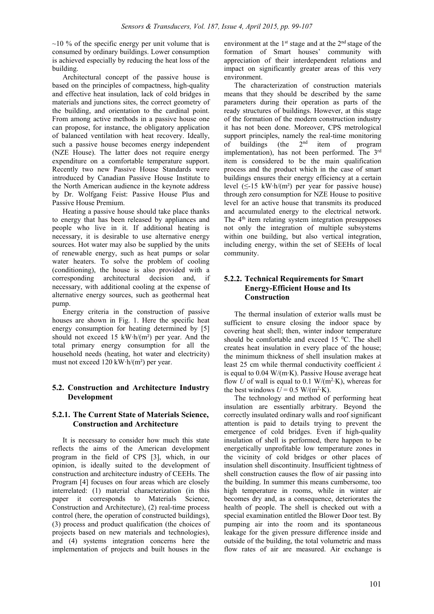$~10$ % of the specific energy per unit volume that is consumed by ordinary buildings. Lower consumption is achieved especially by reducing the heat loss of the building.

Architectural concept of the passive house is based on the principles of compactness, high-quality and effective heat insulation, lack of cold bridges in materials and junctions sites, the correct geometry of the building, and orientation to the cardinal point. From among active methods in a passive house one can propose, for instance, the obligatory application of balanced ventilation with heat recovery. Ideally, such a passive house becomes energy independent (NZE House). The latter does not require energy expenditure on a comfortable temperature support. Recently two new Passive House Standards were introduced by Canadian Passive House Institute to the North American audience in the keynote address by Dr. Wolfgang Feist: Passive House Plus and Passive House Premium.

Heating a passive house should take place thanks to energy that has been released by appliances and people who live in it. If additional heating is necessary, it is desirable to use alternative energy sources. Hot water may also be supplied by the units of renewable energy, such as heat pumps or solar water heaters. To solve the problem of cooling (conditioning), the house is also provided with a corresponding architectural decision and, if necessary, with additional cooling at the expense of alternative energy sources, such as geothermal heat pump.

Energy criteria in the construction of passive houses are shown in Fig. 1. Here the specific heat energy consumption for heating determined by [5] should not exceed 15 kW $\cdot$ h/(m<sup>2</sup>) per year. And the total primary energy consumption for all the household needs (heating, hot water and electricity) must not exceed 120 kW·h/(m²) per year.

# **5.2. Construction and Architecture Industry Development**

# **5.2.1. The Current State of Materials Science, Construction and Architecture**

It is necessary to consider how much this state reflects the aims of the American development program in the field of CPS [3], which, in our opinion, is ideally suited to the development of construction and architecture industry of CEEHs. The Program [4] focuses on four areas which are closely interrelated: (1) material characterization (in this paper it corresponds to Materials Science, Construction and Architecture), (2) real-time process control (here, the operation of constructed buildings), (3) process and product qualification (the choices of projects based on new materials and technologies), and (4) systems integration concerns here the implementation of projects and built houses in the

environment at the 1<sup>st</sup> stage and at the 2<sup>nd</sup> stage of the formation of Smart houses' community with appreciation of their interdependent relations and impact on significantly greater areas of this very environment.

The characterization of construction materials means that they should be described by the same parameters during their operation as parts of the ready structures of buildings. However, at this stage of the formation of the modern construction industry it has not been done. Moreover, CPS metrological support principles, namely the real-time monitoring<br>of buildings (the  $2<sup>nd</sup>$  item of program of buildings (the  $2<sup>nd</sup>$  item of program implementation), has not been performed. The 3rd item is considered to be the main qualification process and the product which in the case of smart buildings ensures their energy efficiency at a certain level  $(\leq 15 \text{ kW} \cdot \text{h}/(\text{m}^2)$  per year for passive house) through zero consumption for NZE House to positive level for an active house that transmits its produced and accumulated energy to the electrical network. The 4<sup>th</sup> item relating system integration presupposes not only the integration of multiple subsystems within one building, but also vertical integration, including energy, within the set of SEEHs of local community.

# **5.2.2. Technical Requirements for Smart Energy-Efficient House and Its Construction**

The thermal insulation of exterior walls must be sufficient to ensure closing the indoor space by covering heat shell; then, winter indoor temperature should be comfortable and exceed 15 °C. The shell creates heat insulation in every place of the house; the minimum thickness of shell insulation makes at least 25 cm while thermal conductivity coefficient *λ* is equal to 0.04 W/(m·K). Passive House average heat flow *U* of wall is equal to 0.1 W/( $m^2$ ·K), whereas for the best windows  $U = 0.5$  W/(m<sup>2</sup>·K).

The technology and method of performing heat insulation are essentially arbitrary. Beyond the correctly insulated ordinary walls and roof significant attention is paid to details trying to prevent the emergence of cold bridges. Even if high-quality insulation of shell is performed, there happen to be energetically unprofitable low temperature zones in the vicinity of cold bridges or other places of insulation shell discontinuity. Insufficient tightness of shell construction causes the flow of air passing into the building. In summer this means cumbersome, too high temperature in rooms, while in winter air becomes dry and, as a consequence, deteriorates the health of people. The shell is checked out with a special examination entitled the Blower Door test. By pumping air into the room and its spontaneous leakage for the given pressure difference inside and outside of the building, the total volumetric and mass flow rates of air are measured. Air exchange is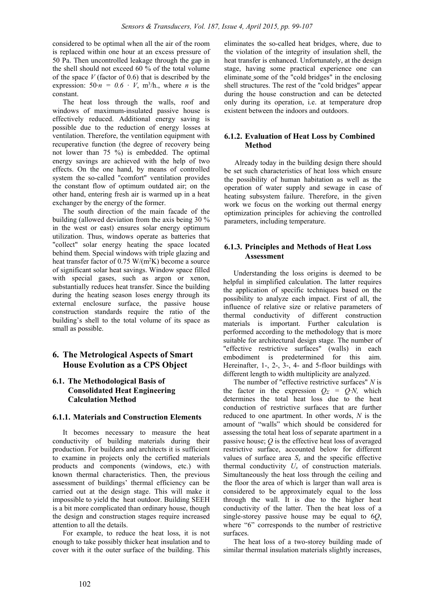considered to be optimal when all the air of the room is replaced within one hour at an excess pressure of 50 Pa. Then uncontrolled leakage through the gap in the shell should not exceed 60 % of the total volume of the space *V* (factor of 0.6) that is described by the expression:  $50 \cdot n = 0.6 \cdot V$ ,  $m^3/h$ , where *n* is the constant.

The heat loss through the walls, roof and windows of maximum-insulated passive house is effectively reduced. Additional energy saving is possible due to the reduction of energy losses at ventilation. Therefore, the ventilation equipment with recuperative function (the degree of recovery being not lower than 75 %) is embedded. The optimal energy savings are achieved with the help of two effects. On the one hand, by means of controlled system the so-called "comfort" ventilation provides the constant flow of optimum outdated air; on the other hand, entering fresh air is warmed up in a heat exchanger by the energy of the former.

The south direction of the main facade of the building (allowed deviation from the axis being 30 % in the west or east) ensures solar energy optimum utilization. Thus, windows operate as batteries that "collect" solar energy heating the space located behind them. Special windows with triple glazing and heat transfer factor of  $0.75 \text{ W/(m}^2\text{K})$  become a source of significant solar heat savings. Window space filled with special gases, such as argon or xenon, substantially reduces heat transfer. Since the building during the heating season loses energy through its external enclosure surface, the passive house construction standards require the ratio of the building's shell to the total volume of its space as small as possible.

# **6. The Metrological Aspects of Smart House Evolution as a CPS Object**

# **6.1. The Methodological Basis of Consolidated Heat Engineering Calculation Method**

# **6.1.1. Materials and Construction Elements**

It becomes necessary to measure the heat conductivity of building materials during their production. For builders and architects it is sufficient to examine in projects only the certified materials products and components (windows, etc.) with known thermal characteristics. Then, the previous assessment of buildings' thermal efficiency can be carried out at the design stage. This will make it impossible to yield the heat outdoor. Building SEEH is a bit more complicated than ordinary house, though the design and construction stages require increased attention to all the details.

For example, to reduce the heat loss, it is not enough to take possibly thicker heat insulation and to cover with it the outer surface of the building. This eliminates the so-called heat bridges, where, due to the violation of the integrity of insulation shell, the heat transfer is enhanced. Unfortunately, at the design stage, having some practical experience one can eliminate some of the "cold bridges" in the enclosing shell structures. The rest of the "cold bridges" appear during the house construction and can be detected only during its operation, i.e. at temperature drop existent between the indoors and outdoors.

### **6.1.2. Evaluation of Heat Loss by Combined Method**

Already today in the building design there should be set such characteristics of heat loss which ensure the possibility of human habitation as well as the operation of water supply and sewage in case of heating subsystem failure. Therefore, in the given work we focus on the working out thermal energy optimization principles for achieving the controlled parameters, including temperature.

### **6.1.3. Principles and Methods of Heat Loss Assessment**

Understanding the loss origins is deemed to be helpful in simplified calculation. The latter requires the application of specific techniques based on the possibility to analyze each impact. First of all, the influence of relative size or relative parameters of thermal conductivity of different construction materials is important. Further calculation is performed according to the methodology that is more suitable for architectural design stage. The number of "effective restrictive surfaces" (walls) in each embodiment is predetermined for this aim. Hereinafter, 1-, 2-, 3-, 4- and 5-floor buildings with different length to width multiplicity are analyzed.

The number of "effective restrictive surfaces" *N* is the factor in the expression  $Q_{\Sigma} = Q \cdot N$ , which determines the total heat loss due to the heat conduction of restrictive surfaces that are further reduced to one apartment. In other words, *N* is the amount of "walls" which should be considered for assessing the total heat loss of separate apartment in a passive house; *Q* is the effective heat loss of averaged restrictive surface, accounted below for different values of surface area  $S_x$  and the specific effective thermal conductivity  $U_x$  of construction materials. Simultaneously the heat loss through the ceiling and the floor the area of which is larger than wall area is considered to be approximately equal to the loss through the wall. It is due to the higher heat conductivity of the latter. Then the heat loss of a single-storey passive house may be equal to 6*Q*, where "6" corresponds to the number of restrictive surfaces.

The heat loss of a two-storey building made of similar thermal insulation materials slightly increases,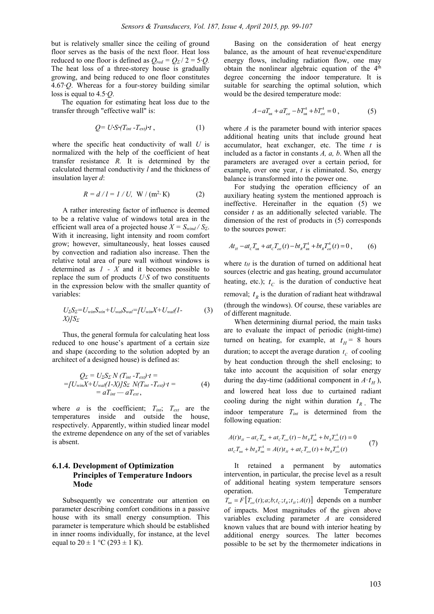but is relatively smaller since the ceiling of ground floor serves as the basis of the next floor. Heat loss reduced to one floor is defined as  $Q_{red} = Q_{\Sigma}/2 = 5 \cdot Q$ . The heat loss of a three-storey house is gradually growing, and being reduced to one floor constitutes 4.67·*Q*. Whereas for a four-storey building similar loss is equal to 4.5·*Q*.

The equation for estimating heat loss due to the transfer through "effective wall" is:

$$
Q = U \cdot S \cdot (T_{int} - T_{ext}) \cdot t , \qquad (1)
$$

where the specific heat conductivity of wall *U* is normalized with the help of the coefficient of heat transfer resistance *R.* It is determined by the calculated thermal conductivity *l* and the thickness of insulation layer *d*:

$$
R = d / l = l / U, W / (m2·K)
$$
 (2)

A rather interesting factor of influence is deemed to be a relative value of windows total area in the efficient wall area of a projected house  $X = S_{wind} / S_{\Sigma}$ . With it increasing, light intensity and room comfort grow; however, simultaneously, heat losses caused by convection and radiation also increase. Then the relative total area of pure wall without windows is determined as *1 - X* and it becomes possible to replace the sum of products *U·S* of two constituents in the expression below with the smaller quantity of variables:

$$
U_{\Sigma}S_{\Sigma}=U_{win}S_{win}+U_{wal}S_{wal}=[U_{win}X+U_{wal}(1-X)]S_{\Sigma}
$$
 (3)

Thus, the general formula for calculating heat loss reduced to one house's apartment of a certain size and shape (according to the solution adopted by an architect of a designed house) is defined as:

$$
Q_{\Sigma} = U_{\Sigma} S_{\Sigma} N (T_{int} - T_{ext}) t =
$$
  
= [U<sub>win</sub>X + U<sub>wall</sub>(1-X)]S<sub>\Sigma</sub> N(T<sub>int</sub> - T<sub>ext</sub>) t =  
= aT<sub>int</sub> - aT<sub>ext</sub>, (4)

where  $a$  is the coefficient;  $T_{int}$ ;  $T_{ext}$  are the temperatures inside and outside the house, respectively. Apparently, within studied linear model the extreme dependence on any of the set of variables is absent.

### **6.1.4. Development of Optimization Principles of Temperature Indoors Mode**

Subsequently we concentrate our attention on parameter describing comfort conditions in a passive house with its small energy consumption. This parameter is temperature which should be established in inner rooms individually, for instance, at the level equal to  $20 \pm 1$  °C (293  $\pm$  1 K).

Basing on the consideration of heat energy balance, as the amount of heat revenue\expenditure energy flows, including radiation flow, one may obtain the nonlinear algebraic equation of the 4<sup>th</sup> degree concerning the indoor temperature. It is suitable for searching the optimal solution, which would be the desired temperature mode:

$$
A - aT_{\text{int}} + aT_{\text{ext}} - bT_{\text{int}}^4 + bT_{\text{ext}}^4 = 0, \qquad (5)
$$

where *A* is the parameter bound with interior spaces additional heating units that include ground heat accumulator, heat exchanger, etc. The time *t* is included as a factor in constants *A, a, b*. When all the parameters are averaged over a certain period, for example, over one year, *t* is eliminated. So, energy balance is transformed into the power one.

For studying the operation efficiency of an auxiliary heating system the mentioned approach is ineffective. Hereinafter in the equation (5) we consider *t* as an additionally selected variable. The dimension of the rest of products in (5) corresponds to the sources power:

$$
At_{H} - at_{C}T_{int} + at_{C}T_{ext}(t) - bt_{R}T_{int}^{4} + bt_{R}T_{ext}^{4}(t) = 0, \qquad (6)
$$

where  $t_H$  is the duration of turned on additional heat sources (electric and gas heating, ground accumulator heating, etc.);  $t_c$  is the duration of conductive heat removal;  $t<sub>R</sub>$  is the duration of radiant heat withdrawal (through the windows). Of course, these variables are of different magnitude.

When determining diurnal period, the main tasks are to evaluate the impact of periodic (night-time) turned on heating, for example, at  $t_H$  = 8 hours duration; to accept the average duration  $t_c$  of cooling by heat conduction through the shell enclosing; to take into account the acquisition of solar energy during the day-time (additional component in  $A \cdot t_H$ ), and lowered heat loss due to curtained radiant cooling during the night within duration  $t_{R_+}$ . The indoor temperature *Tint* is determined from the following equation:

$$
A(t)t_{H} - at_{C}T_{int} + at_{C}T_{ext}(t) - bt_{R}T_{int}^{4} + bt_{R}T_{ext}^{4}(t) = 0
$$
  
 
$$
at_{C}T_{int} + bt_{R}T_{int}^{4} = A(t)t_{H} + at_{C}T_{ext}(t) + bt_{R}T_{ext}^{4}(t)
$$
 (7)

It retained a permanent by automatics intervention, in particular, the precise level as a result of additional heating system temperature sensors operation. Temperature  $T_{\text{int}} = F\left[ T_{\text{ext}}(t); a; b; t_c; t_{\text{R}}; t_{\text{H}}; A(t) \right]$  depends on a number of impacts. Most magnitudes of the given above variables excluding parameter *A* are considered known values that are bound with interior heating by additional energy sources. The latter becomes possible to be set by the thermometer indications in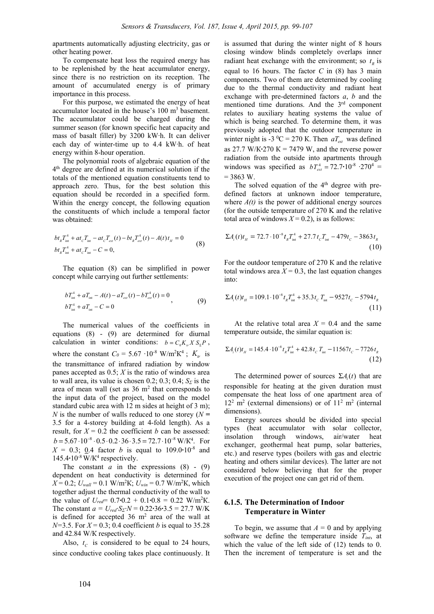apartments automatically adjusting electricity, gas or other heating power.

To compensate heat loss the required energy has to be replenished by the heat accumulator energy, since there is no restriction on its reception. The amount of accumulated energy is of primary importance in this process.

For this purpose, we estimated the energy of heat accumulator located in the house's  $100 \text{ m}^3$  basement. The accumulator could be charged during the summer season (for known specific heat capacity and mass of basalt filler) by 3200 kW·h. It can deliver each day of winter-time up to 4.4 kW·h. of heat energy within 8-hour operation.

The polynomial roots of algebraic equation of the 4th degree are defined at its numerical solution if the totals of the mentioned equation constituents tend to approach zero. Thus, for the best solution this equation should be recorded in a specified form. Within the energy concept, the following equation the constituents of which include a temporal factor was obtained:

$$
bt_{R}T_{int}^{4} + at_{C}T_{int} - at_{C}T_{ext}(t) - bt_{R}T_{ext}^{4}(t) - A(t)t_{H} = 0
$$
  
\n
$$
bt_{R}T_{int}^{4} + at_{C}T_{int} - C = 0,
$$
\n(8)

The equation (8) can be simplified in power concept while carrying out further settlements:

$$
bT_{int}^{4} + aT_{int} - A(t) - aT_{ext}(t) - bT_{ext}^{4}(t) = 0
$$
  
\n
$$
bT_{int}^{4} + aT_{int} - C = 0
$$
\n(9)

The numerical values of the coefficients in equations (8) - (9) are determined for diurnal calculation in winter conditions:  $b = C_0 K_{\nu} X S_{\nu} P$ , where the constant  $C_0 = 5.67 \cdot 10^{-8} \text{ W/m}^2 \text{K}^4$ ;  $K_{tr}$  is the transmittance of infrared radiation by window panes accepted as 0.5; *Х* is the ratio of windows area to wall area, its value is chosen 0.2; 0.3; 0.4;  $S_{\Sigma}$  is the area of mean wall (set as  $36 \text{ m}^2$  that corresponds to the input data of the project, based on the model standard cubic area with 12 m sides at height of 3 m); *N* is the number of walls reduced to one storey (*N =* 3.5 for a 4-storey building at 4-fold length). As a result, for *X* = 0.2 the coefficient *b* can be assessed:  $b = 5.67 \cdot 10^{-8} \cdot 0.5 \cdot 0.2 \cdot 36 \cdot 3.5 = 72.7 \cdot 10^{-8} \text{ W/K}^4$ . For  $X = 0.3$ ; 0.4 factor *b* is equal to 109.0**·**10<sup>-8</sup> and 145.4 $\cdot$ 10<sup>-8</sup> W/K<sup>4</sup> respectively.

The constant  $a$  in the expressions  $(8)$  -  $(9)$ dependent on heat conductivity is determined for  $X = 0.2$ ;  $U_{wall} = 0.1$  W/m<sup>2</sup>K;  $U_{win} = 0.7$  W/m<sup>2</sup>K, which together adjust the thermal conductivity of the wall to the value of  $U_{\text{red}} = 0.7 \cdot 0.2 + 0.1 \cdot 0.8 = 0.22 \text{ W/m}^2 \text{K}.$ The constant  $a = U_{red}$ *·S<sub><i>Σ</sub>*· $N = 0.22$ **·**36·3.5 = 27.7 W/K</sub> is defined for accepted  $36 \text{ m}^2$  area of the wall at  $N=3.5$ . For  $X=0.3$ ; 0.4 coefficient *b* is equal to 35.28 and 42.84 W/К respectively.

Also,  $t_c$  is considered to be equal to 24 hours, since conductive cooling takes place continuously. It is assumed that during the winter night of 8 hours closing window blinds completely overlaps inner radiant heat exchange with the environment; so  $t<sub>p</sub>$  is equal to 16 hours. The factor *С* in (8) has 3 main components. Two of them are determined by cooling due to the thermal conductivity and radiant heat exchange with pre-determined factors *a*, *b* and the mentioned time durations. And the 3rd component relates to auxiliary heating systems the value of which is being searched. To determine them, it was previously adopted that the outdoor temperature in winter night is -3 <sup>0</sup>C = 270 K. Then  $aT_{ext}$  was defined as 27.7 W/K $\cdot$ 270 K = 7479 W, and the reverse power radiation from the outside into apartments through windows was specified as  $bT_{ext}^4 = 72.7 \cdot 10^{-8} \cdot 270^4 =$  $= 3863$  W.

The solved equation of the  $4<sup>th</sup>$  degree with predefined factors at unknown indoor temperature, where  $A(t)$  is the power of additional energy sources (for the outside temperature of 270 K and the relative total area of windows  $X = 0.2$ ), is as follows:

$$
\Sigma A_i(t)t_{\scriptscriptstyle H} = 72.7 \cdot 10^{-8} t_{\scriptscriptstyle R} T_{\scriptscriptstyle \text{int}}^4 + 27.7 t_{\scriptscriptstyle C} T_{\scriptscriptstyle \text{int}} - 479 t_{\scriptscriptstyle C} - 3863 t_{\scriptscriptstyle R} \tag{10}
$$

For the outdoor temperature of 270 К and the relative total windows area  $X = 0.3$ , the last equation changes into:

$$
\Sigma A_i(t)t_{\scriptscriptstyle H} = 109.1 \cdot 10^{-8} t_{\scriptscriptstyle R} T_{\scriptscriptstyle \text{int}}^4 + 35.3 t_{\scriptscriptstyle C} T_{\scriptscriptstyle \text{int}} - 9527 t_{\scriptscriptstyle C} - 5794 t_{\scriptscriptstyle R} \tag{11}
$$

At the relative total area  $X = 0.4$  and the same temperature outside, the similar equation is:

$$
\Sigma A_i(t)t_{tt} = 145.4 \cdot 10^{-8} t_{R} T_{int}^4 + 42.8 t_{C} T_{int} - 11567 t_{C} - 7726 t_{R}
$$
\n(12)

The determined power of sources  $\Sigma A_i(t)$  that are responsible for heating at the given duration must compensate the heat loss of one apartment area of  $12<sup>2</sup>$  m<sup>2</sup> (external dimensions) or of  $11<sup>2</sup>$  m<sup>2</sup> (internal dimensions).

Energy sources should be divided into special types (heat accumulator with solar collector, insolation through windows, air/water heat exchanger, geothermal heat pump, solar batteries, etc.) and reserve types (boilers with gas and electric heating and others similar devices). The latter are not considered below believing that for the proper execution of the project one can get rid of them.

### **6.1.5. The Determination of Indoor Temperature in Winter**

To begin, we assume that  $A = 0$  and by applying software we define the temperature inside *Tint*, at which the value of the left side of (12) tends to 0. Then the increment of temperature is set and the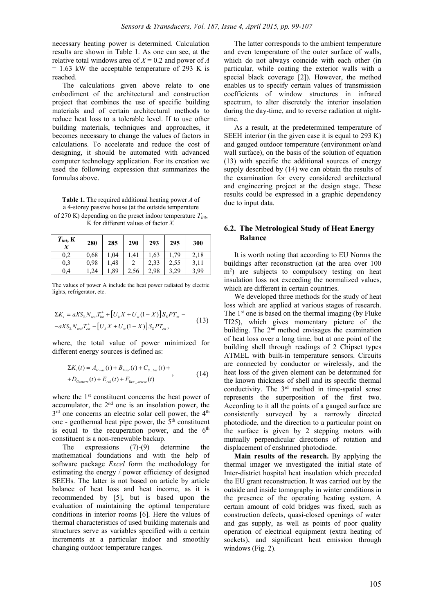necessary heating power is determined. Calculation results are shown in Table 1. As one can see, at the relative total windows area of  $X = 0.2$  and power of *A*  $= 1.63$  kW the acceptable temperature of 293 K is reached.

The calculations given above relate to one embodiment of the architectural and construction project that combines the use of specific building materials and of certain architectural methods to reduce heat loss to a tolerable level. If to use other building materials, techniques and approaches, it becomes necessary to change the values of factors in calculations. To accelerate and reduce the cost of designing, it should be automated with advanced computer technology application. For its creation we used the following expression that summarizes the formulas above.

**Table 1.** The required additional heating power *A* of a 4-storey passive house (at the outside temperature of 270 K) depending on the preset indoor temperature *Tint*, K for different values of factor *X.* 

| $T_{int}$ , $K$ | 280  | 285 | 290  | 293  | 295  | 300  |
|-----------------|------|-----|------|------|------|------|
| $_{\rm 0,2}$    | 0.68 | 04  | 41   | .63  | 79   | 2,18 |
| 0,3             | 0.98 | 48  |      | 33   | 2.55 |      |
| $_{0,4}$        | 24   | ,89 | 2,56 | 2,98 | 3,29 | 3,99 |

The values of power A include the heat power radiated by electric lights, refrigerator, etc.

$$
\Sigma K_{i} = aX S_{\Sigma} N_{real} T_{int}^{4} + [U_{b} X + U_{w} (1 - X)] S_{\Sigma} P T_{int} - aX S_{\Sigma} N_{real} T_{cut}^{4} - [U_{b} X + U_{w} (1 - X)] S_{\Sigma} P T_{ext},
$$
\n(13)

where, the total value of power minimized for different energy sources is defined as:

$$
\Sigma K_i(t) = A_{H-ac}(t) + B_{Insol}(t) + C_{S_{-bat}}(t) ++D_{Geoterm}(t) + E_{rek}(t) + F_{Res_{source}}(t) ,
$$
\n(14)

where the 1<sup>st</sup> constituent concerns the heat power of accumulator, the  $2<sup>nd</sup>$  one is an insolation power, the  $3<sup>rd</sup>$  one concerns an electric solar cell power, the  $4<sup>th</sup>$ one - geothermal heat pipe power, the  $5<sup>th</sup>$  constituent is equal to the recuperation power, and the  $6<sup>th</sup>$ constituent is a non-renewable backup.

The expressions (7)-(9) determine the mathematical foundations and with the help of software package *Excel* form the methodology for estimating the energy / power efficiency of designed SEEHs. The latter is not based on article by article balance of heat loss and heat income, as it is recommended by [5], but is based upon the evaluation of maintaining the optimal temperature conditions in interior rooms [6]. Here the values of thermal characteristics of used building materials and structures serve as variables specified with a certain increments at a particular indoor and smoothly changing outdoor temperature ranges.

The latter corresponds to the ambient temperature and even temperature of the outer surface of walls, which do not always coincide with each other (in particular, while coating the exterior walls with a special black coverage [2]). However, the method enables us to specify certain values of transmission coefficients of window structures in infrared spectrum, to alter discretely the interior insolation during the day-time, and to reverse radiation at nighttime.

As a result, at the predetermined temperature of SEEH interior (in the given case it is equal to 293 K) and gauged outdoor temperature (environment or/and wall surface), on the basis of the solution of equation (13) with specific the additional sources of energy supply described by (14) we can obtain the results of the examination for every considered architectural and engineering project at the design stage. These results could be expressed in a graphic dependency due to input data.

### **6.2. The Metrological Study of Heat Energy Balance**

It is worth noting that according to EU Norms the buildings after reconstruction (at the area over 100 m2 ) are subjects to compulsory testing on heat insulation loss not exceeding the normalized values, which are different in certain countries.

We developed three methods for the study of heat loss which are applied at various stages of research. The 1<sup>st</sup> one is based on the thermal imaging (by Fluke TI25), which gives momentary picture of the building. The 2<sup>nd</sup> method envisages the examination of heat loss over a long time, but at one point of the building shell through readings of 2 Chipset types ATMEL with built-in temperature sensors. Circuits are connected by conductor or wirelessly, and the heat loss of the given element can be determined for the known thickness of shell and its specific thermal conductivity. The 3rd method in time-spatial sense represents the superposition of the first two. According to it all the points of a gauged surface are consistently surveyed by a narrowly directed photodiode, and the direction to a particular point on the surface is given by 2 stepping motors with mutually perpendicular directions of rotation and displacement of enshrined photodiode.

**Main results of the research.** By applying the thermal imager we investigated the initial state of Inter-district hospital heat insulation which preceded the EU grant reconstruction. It was carried out by the outside and inside tomography in winter conditions in the presence of the operating heating system. A certain amount of cold bridges was fixed, such as construction defects, quasi-closed openings of water and gas supply, as well as points of poor quality operation of electrical equipment (extra heating of sockets), and significant heat emission through windows (Fig. 2).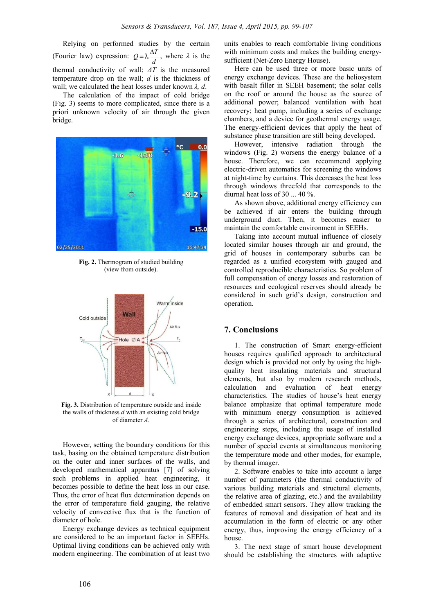Relying on performed studies by the certain (Fourier law) expression:  $Q = \lambda \frac{\Delta T}{d}$ , where  $\lambda$  is the thermal conductivity of wall; *ΔT* is the measured temperature drop on the wall; *d* is the thickness of wall; we calculated the heat losses under known *λ, d*.

The calculation of the impact of cold bridge (Fig. 3) seems to more complicated, since there is a priori unknown velocity of air through the given bridge.



**Fig. 2.** Thermogram of studied building (view from outside).



**Fig. 3.** Distribution of temperature outside and inside the walls of thickness *d* with an existing cold bridge of diameter *A.*

However, setting the boundary conditions for this task, basing on the obtained temperature distribution on the outer and inner surfaces of the walls, and developed mathematical apparatus [7] of solving such problems in applied heat engineering, it becomes possible to define the heat loss in our case. Thus, the error of heat flux determination depends on the error of temperature field gauging, the relative velocity of convective flux that is the function of diameter of hole.

Energy exchange devices as technical equipment are considered to be an important factor in SEEHs. Optimal living conditions can be achieved only with modern engineering. The combination of at least two

units enables to reach comfortable living conditions with minimum costs and makes the building energysufficient (Net-Zero Energy House).

Here can be used three or more basic units of energy exchange devices. These are the heliosystem with basalt filler in SEEH basement; the solar cells on the roof or around the house as the source of additional power; balanced ventilation with heat recovery; heat pump, including a series of exchange chambers, and a device for geothermal energy usage. The energy-efficient devices that apply the heat of substance phase transition are still being developed.

However, intensive radiation through the windows (Fig. 2) worsens the energy balance of a house. Therefore, we can recommend applying electric-driven automatics for screening the windows at night-time by curtains. This decreases the heat loss through windows threefold that corresponds to the diurnal heat loss of 30 ... 40 %.

As shown above, additional energy efficiency can be achieved if air enters the building through underground duct. Then, it becomes easier to maintain the comfortable environment in SEEHs.

Taking into account mutual influence of closely located similar houses through air and ground, the grid of houses in contemporary suburbs can be regarded as a unified ecosystem with gauged and controlled reproducible characteristics. So problem of full compensation of energy losses and restoration of resources and ecological reserves should already be considered in such grid's design, construction and operation.

#### **7. Conclusions**

1. The construction of Smart energy-efficient houses requires qualified approach to architectural design which is provided not only by using the highquality heat insulating materials and structural elements, but also by modern research methods, calculation and evaluation of heat energy characteristics. The studies of house's heat energy balance emphasize that optimal temperature mode with minimum energy consumption is achieved through a series of architectural, construction and engineering steps, including the usage of installed energy exchange devices, appropriate software and a number of special events at simultaneous monitoring the temperature mode and other modes, for example, by thermal imager.

2. Software enables to take into account a large number of parameters (the thermal conductivity of various building materials and structural elements, the relative area of glazing, etc.) and the availability of embedded smart sensors. They allow tracking the features of removal and dissipation of heat and its accumulation in the form of electric or any other energy, thus, improving the energy efficiency of a house.

3. The next stage of smart house development should be establishing the structures with adaptive